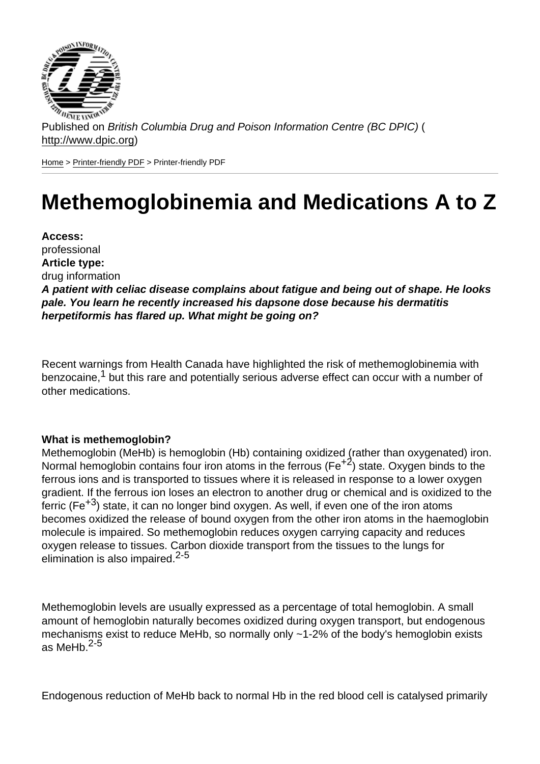Published on British Columbia Drug and Poison Information Centre (BC DPIC) ( http://www.dpic.org)

Home > Printer-friendly PDF > Printer-friendly PDF

# [Me](http://www.dpic.org/)[themog](http://www.dpic.org/printpdf)lobinemia and Medications A to Z

Access: professional Article type: drug information A patient with celiac disease complains about fatigue and being out of shape. He looks pale. You learn he recently increased his dapsone dose because his dermatitis herpetiformis has flared up. What might be going on?

Recent warnings from Health Canada have highlighted the risk of methemoglobinemia with benzocaine,<sup>1</sup> but this rare and potentially serious adverse effect can occur with a number of other medications.

## What is methemoglobin?

Methemoglobin (MeHb) is hemoglobin (Hb) containing oxidized (rather than oxygenated) iron. Normal hemoglobin contains four iron atoms in the ferrous ( $Fe<sup>+2</sup>$ ) state. Oxygen binds to the ferrous ions and is transported to tissues where it is released in response to a lower oxygen gradient. If the ferrous ion loses an electron to another drug or chemical and is oxidized to the ferric ( $Fe^{+3}$ ) state, it can no longer bind oxygen. As well, if even one of the iron atoms becomes oxidized the release of bound oxygen from the other iron atoms in the haemoglobin molecule is impaired. So methemoglobin reduces oxygen carrying capacity and reduces oxygen release to tissues. Carbon dioxide transport from the tissues to the lungs for elimination is also impaired. $2-5$ 

Methemoglobin levels are usually expressed as a percentage of total hemoglobin. A small amount of hemoglobin naturally becomes oxidized during oxygen transport, but endogenous mechanisms exist to reduce MeHb, so normally only ~1-2% of the body's hemoglobin exists as MeH $b.$ <sup>2-5</sup>

Endogenous reduction of MeHb back to normal Hb in the red blood cell is catalysed primarily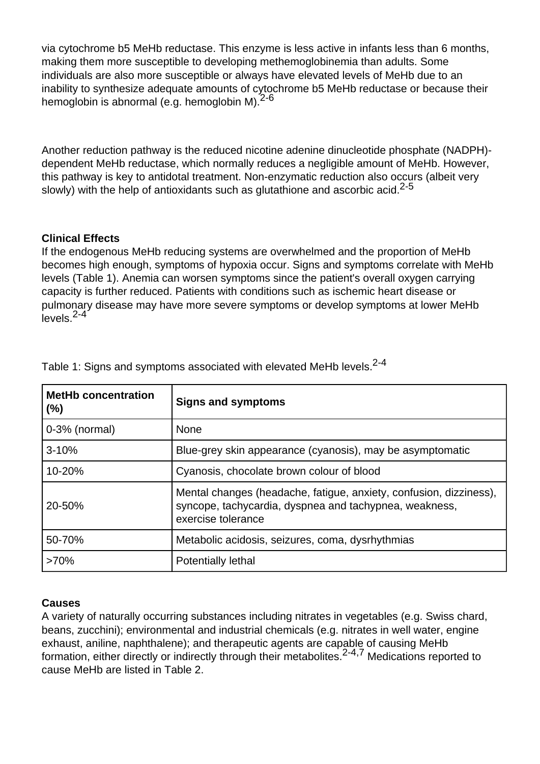via cytochrome b5 MeHb reductase. This enzyme is less active in infants less than 6 months, making them more susceptible to developing methemoglobinemia than adults. Some individuals are also more susceptible or always have elevated levels of MeHb due to an inability to synthesize adequate amounts of cytochrome b5 MeHb reductase or because their hemoglobin is abnormal (e.g. hemoglobin M).<sup>2-6</sup>

Another reduction pathway is the reduced nicotine adenine dinucleotide phosphate (NADPH) dependent MeHb reductase, which normally reduces a negligible amount of MeHb. However, this pathway is key to antidotal treatment. Non-enzymatic reduction also occurs (albeit very slowly) with the help of antioxidants such as glutathione and ascorbic acid.<sup>2-5</sup>

## **Clinical Effects**

If the endogenous MeHb reducing systems are overwhelmed and the proportion of MeHb becomes high enough, symptoms of hypoxia occur. Signs and symptoms correlate with MeHb levels (Table 1). Anemia can worsen symptoms since the patient's overall oxygen carrying capacity is further reduced. Patients with conditions such as ischemic heart disease or pulmonary disease may have more severe symptoms or develop symptoms at lower MeHb  $_{\rm levels}^{2-4}$ 

| <b>MetHb concentration</b><br>(%) | <b>Signs and symptoms</b>                                                                                                                          |
|-----------------------------------|----------------------------------------------------------------------------------------------------------------------------------------------------|
| $0-3%$ (normal)                   | None                                                                                                                                               |
| $3 - 10%$                         | Blue-grey skin appearance (cyanosis), may be asymptomatic                                                                                          |
| 10-20%                            | Cyanosis, chocolate brown colour of blood                                                                                                          |
| 20-50%                            | Mental changes (headache, fatigue, anxiety, confusion, dizziness),<br>syncope, tachycardia, dyspnea and tachypnea, weakness,<br>exercise tolerance |
| 50-70%                            | Metabolic acidosis, seizures, coma, dysrhythmias                                                                                                   |
| $>70\%$                           | <b>Potentially lethal</b>                                                                                                                          |

Table 1: Signs and symptoms associated with elevated MeHb levels.<sup>2-4</sup>

## **Causes**

A variety of naturally occurring substances including nitrates in vegetables (e.g. Swiss chard, beans, zucchini); environmental and industrial chemicals (e.g. nitrates in well water, engine exhaust, aniline, naphthalene); and therapeutic agents are capable of causing MeHb formation, either directly or indirectly through their metabolites.<sup>2-4,7</sup> Medications reported to cause MeHb are listed in Table 2.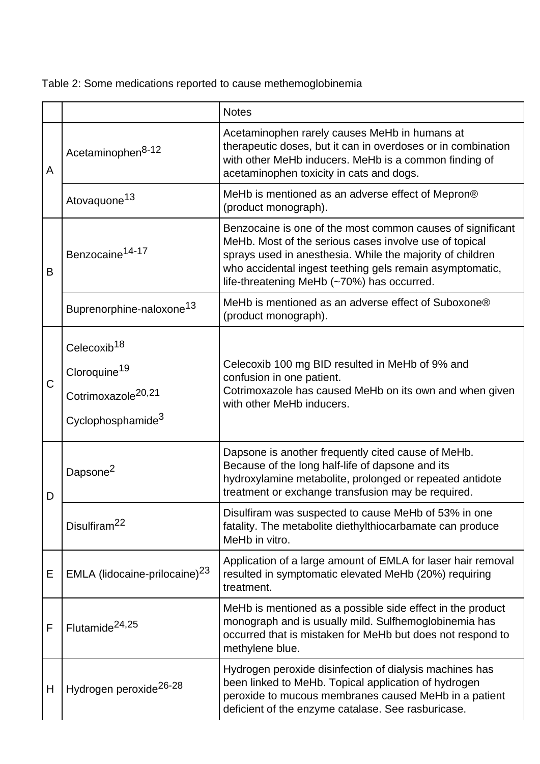Table 2: Some medications reported to cause methemoglobinemia

|             |                                                                                                            | <b>Notes</b>                                                                                                                                                                                                                                                                                |
|-------------|------------------------------------------------------------------------------------------------------------|---------------------------------------------------------------------------------------------------------------------------------------------------------------------------------------------------------------------------------------------------------------------------------------------|
| A           | Acetaminophen <sup>8-12</sup>                                                                              | Acetaminophen rarely causes MeHb in humans at<br>therapeutic doses, but it can in overdoses or in combination<br>with other MeHb inducers. MeHb is a common finding of<br>acetaminophen toxicity in cats and dogs.                                                                          |
|             | Atovaquone <sup>13</sup>                                                                                   | MeHb is mentioned as an adverse effect of Mepron®<br>(product monograph).                                                                                                                                                                                                                   |
| B           | Benzocaine <sup>14-17</sup>                                                                                | Benzocaine is one of the most common causes of significant<br>MeHb. Most of the serious cases involve use of topical<br>sprays used in anesthesia. While the majority of children<br>who accidental ingest teething gels remain asymptomatic,<br>life-threatening MeHb (~70%) has occurred. |
|             | Buprenorphine-naloxone <sup>13</sup>                                                                       | MeHb is mentioned as an adverse effect of Suboxone®<br>(product monograph).                                                                                                                                                                                                                 |
| $\mathsf C$ | Celecoxib <sup>18</sup><br>Cloroquine <sup>19</sup><br>Cotrimoxazole <sup>20,21</sup><br>Cyclophosphamide3 | Celecoxib 100 mg BID resulted in MeHb of 9% and<br>confusion in one patient.<br>Cotrimoxazole has caused MeHb on its own and when given<br>with other MeHb inducers.                                                                                                                        |
| D           | Dapsone <sup>2</sup>                                                                                       | Dapsone is another frequently cited cause of MeHb.<br>Because of the long half-life of dapsone and its<br>hydroxylamine metabolite, prolonged or repeated antidote<br>treatment or exchange transfusion may be required.                                                                    |
|             | Disulfiram <sup>22</sup>                                                                                   | Disulfiram was suspected to cause MeHb of 53% in one<br>fatality. The metabolite diethylthiocarbamate can produce<br>MeHb in vitro.                                                                                                                                                         |
| Е           | EMLA (lidocaine-prilocaine) <sup>23</sup>                                                                  | Application of a large amount of EMLA for laser hair removal<br>resulted in symptomatic elevated MeHb (20%) requiring<br>treatment.                                                                                                                                                         |
| F           | Flutamide <sup>24,25</sup>                                                                                 | MeHb is mentioned as a possible side effect in the product<br>monograph and is usually mild. Sulfhemoglobinemia has<br>occurred that is mistaken for MeHb but does not respond to<br>methylene blue.                                                                                        |
| H           | Hydrogen peroxide <sup>26-28</sup>                                                                         | Hydrogen peroxide disinfection of dialysis machines has<br>been linked to MeHb. Topical application of hydrogen<br>peroxide to mucous membranes caused MeHb in a patient<br>deficient of the enzyme catalase. See rasburicase.                                                              |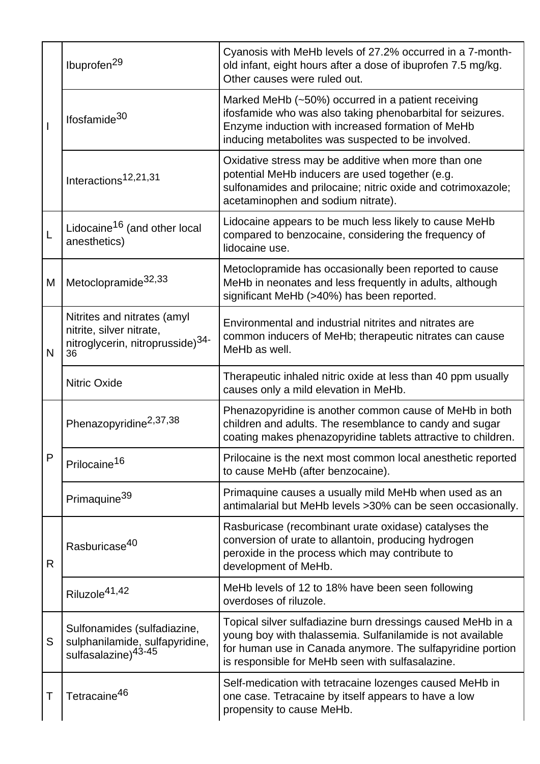|              | Ibuprofen <sup>29</sup>                                                                                       | Cyanosis with MeHb levels of 27.2% occurred in a 7-month-<br>old infant, eight hours after a dose of ibuprofen 7.5 mg/kg.<br>Other causes were ruled out.                                                                                   |
|--------------|---------------------------------------------------------------------------------------------------------------|---------------------------------------------------------------------------------------------------------------------------------------------------------------------------------------------------------------------------------------------|
|              | Ifosfamide <sup>30</sup>                                                                                      | Marked MeHb (~50%) occurred in a patient receiving<br>ifosfamide who was also taking phenobarbital for seizures.<br>Enzyme induction with increased formation of MeHb<br>inducing metabolites was suspected to be involved.                 |
|              | Interactions <sup>12,21,31</sup>                                                                              | Oxidative stress may be additive when more than one<br>potential MeHb inducers are used together (e.g.<br>sulfonamides and prilocaine; nitric oxide and cotrimoxazole;<br>acetaminophen and sodium nitrate).                                |
| L            | Lidocaine <sup>16</sup> (and other local<br>anesthetics)                                                      | Lidocaine appears to be much less likely to cause MeHb<br>compared to benzocaine, considering the frequency of<br>lidocaine use.                                                                                                            |
| M            | Metoclopramide <sup>32,33</sup>                                                                               | Metoclopramide has occasionally been reported to cause<br>MeHb in neonates and less frequently in adults, although<br>significant MeHb (>40%) has been reported.                                                                            |
| N            | Nitrites and nitrates (amyl<br>nitrite, silver nitrate,<br>nitroglycerin, nitroprusside) <sup>34-</sup><br>36 | Environmental and industrial nitrites and nitrates are<br>common inducers of MeHb; therapeutic nitrates can cause<br>MeHb as well.                                                                                                          |
|              | <b>Nitric Oxide</b>                                                                                           | Therapeutic inhaled nitric oxide at less than 40 ppm usually<br>causes only a mild elevation in MeHb.                                                                                                                                       |
| $\mathsf{P}$ | Phenazopyridine <sup>2,37,38</sup>                                                                            | Phenazopyridine is another common cause of MeHb in both<br>children and adults. The resemblance to candy and sugar<br>coating makes phenazopyridine tablets attractive to children.                                                         |
|              | Prilocaine <sup>16</sup>                                                                                      | Prilocaine is the next most common local anesthetic reported<br>to cause MeHb (after benzocaine).                                                                                                                                           |
|              | Primaquine <sup>39</sup>                                                                                      | Primaquine causes a usually mild MeHb when used as an<br>antimalarial but MeHb levels > 30% can be seen occasionally.                                                                                                                       |
| $\mathsf{R}$ | Rasburicase <sup>40</sup>                                                                                     | Rasburicase (recombinant urate oxidase) catalyses the<br>conversion of urate to allantoin, producing hydrogen<br>peroxide in the process which may contribute to<br>development of MeHb.                                                    |
|              | Riluzole <sup>41,42</sup>                                                                                     | MeHb levels of 12 to 18% have been seen following<br>overdoses of riluzole.                                                                                                                                                                 |
| S            | Sulfonamides (sulfadiazine,<br>sulphanilamide, sulfapyridine,<br>sulfasalazine) <sup>43-45</sup>              | Topical silver sulfadiazine burn dressings caused MeHb in a<br>young boy with thalassemia. Sulfanilamide is not available<br>for human use in Canada anymore. The sulfapyridine portion<br>is responsible for MeHb seen with sulfasalazine. |
| Τ            | Tetracaine <sup>46</sup>                                                                                      | Self-medication with tetracaine lozenges caused MeHb in<br>one case. Tetracaine by itself appears to have a low<br>propensity to cause MeHb.                                                                                                |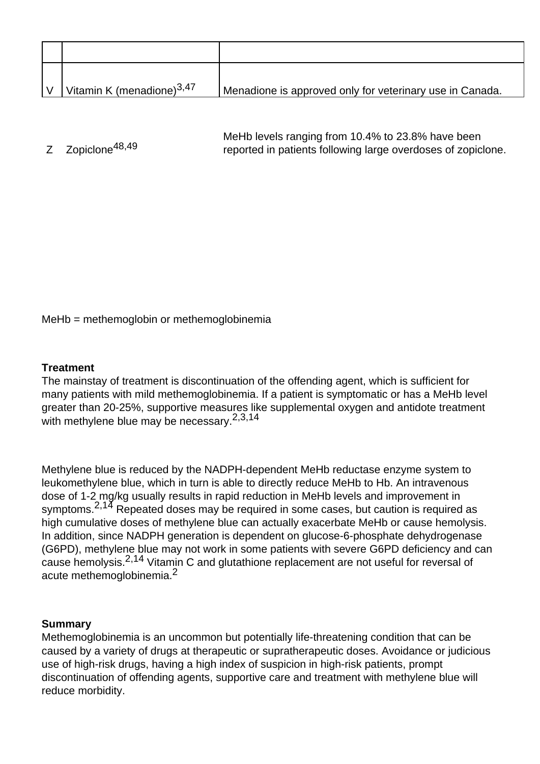| $\overline{V}$ | Vitamin K (menadione) $3,47$ | Menadione is approved only for veterinary use in Canada. |
|----------------|------------------------------|----------------------------------------------------------|

Z Zopiclone<sup>48,49</sup> MeHb levels ranging from 10.4% to 23.8% have been reported in patients following large overdoses of zopiclone.

MeHb = methemoglobin or methemoglobinemia

#### **Treatment**

The mainstay of treatment is discontinuation of the offending agent, which is sufficient for many patients with mild methemoglobinemia. If a patient is symptomatic or has a MeHb level greater than 20-25%, supportive measures like supplemental oxygen and antidote treatment with methylene blue may be necessary.<sup>2,3,14</sup>

Methylene blue is reduced by the NADPH-dependent MeHb reductase enzyme system to leukomethylene blue, which in turn is able to directly reduce MeHb to Hb. An intravenous dose of 1-2 mg/kg usually results in rapid reduction in MeHb levels and improvement in symptoms.<sup>2,14</sup> Repeated doses may be required in some cases, but caution is required as high cumulative doses of methylene blue can actually exacerbate MeHb or cause hemolysis. In addition, since NADPH generation is dependent on glucose-6-phosphate dehydrogenase (G6PD), methylene blue may not work in some patients with severe G6PD deficiency and can cause hemolysis.2,14 Vitamin C and glutathione replacement are not useful for reversal of acute methemoglobinemia.<sup>2</sup>

#### **Summary**

Methemoglobinemia is an uncommon but potentially life-threatening condition that can be caused by a variety of drugs at therapeutic or supratherapeutic doses. Avoidance or judicious use of high-risk drugs, having a high index of suspicion in high-risk patients, prompt discontinuation of offending agents, supportive care and treatment with methylene blue will reduce morbidity.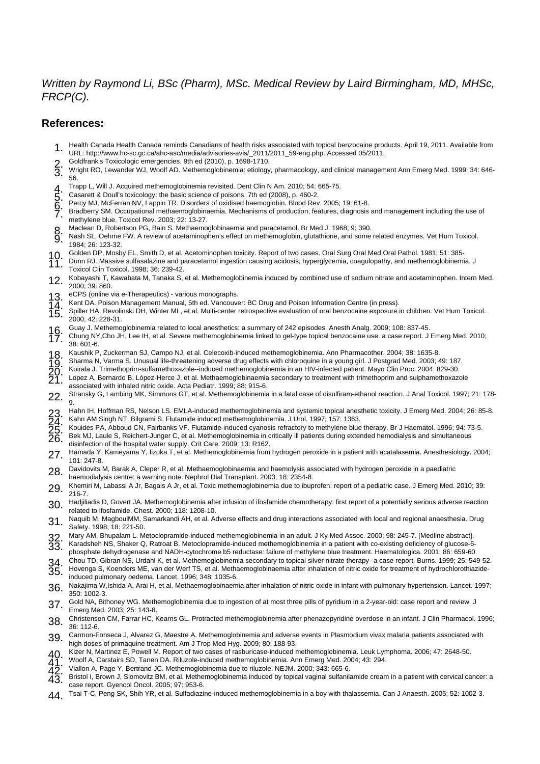#### Written by Raymond Li, BSc (Pharm), MSc. Medical Review by Laird Birmingham, MD, MHSc, FRCP(C).

#### **References:**

- 1. Health Canada Health Canada reminds Canadians of health risks associated with topical benzocaine products. April 19, 2011. Available from URL: http://www.hc-sc.gc.ca/ahc-asc/media/advisories-avis/\_2011/2011\_59-eng.php. Accessed 05/2011.
- 
- 2. Goldfrank's Toxicologic emergencies, 9th ed (2010), p. 1698-1710.<br>3. Wright RO, Lewander WJ, Woolf AD. Methemoglobinemia: etiology 3. Wright RO, Lewander WJ, Woolf AD. Methemoglobinemia: etiology, pharmacology, and clinical management Ann Emerg Med. 1999; 34: 646- 56.
- 
- 5. Casarett & Doull's toxicology: the basic science of poisons. 7th ed (2008), p. 460-2.
- 6. Percy MJ, McFerran NV, Lappin TR. Disorders of oxidised haemoglobin. Blood Rev. 2005; 19: 61-8.
- 1. Trapp L, Will J. Acquired methemoglobinemia revisited. Dent Clin N Am. 2010; 54: 665-75.<br>
5. Casarett & Doull's toxicology: the basic science of poisons. 7th ed (2008), p. 460-2.<br>
9. Percy MJ, McFerran NV, Lappin TR. Di 7. Bradberry SM. Occupational methaemoglobinaemia. Mechanisms of production, features, diagnosis and management including the use of methylene blue. Toxicol Rev. 2003; 22: 13-27.
- 
- 8. Maclean D, Robertson PG, Bain S. Methaemoglobinaemia and paracetamol. Br Med J. 1968; 9: 390.<br>8. Nash SL, Oehme FW. A review of acetaminophen's effect on methemoglobin, glutathione, and some Nash SL, Oehme FW. A review of acetaminophen's effect on methemoglobin, glutathione, and some related enzymes. Vet Hum Toxicol. 1984; 26: 123-32.
- 10. Golden DP, Mosby EL, Smith D, et al. Acetominophen toxicity. Report of two cases. Oral Surg Oral Med Oral Pathol. 1981; 51: 385-<br>11. Dunn RJ. Massive sulfasalazine and paracetamol ingestion causing acidosis, hyperglyce 11. Dunn RJ. Massive sulfasalazine and paracetamol ingestion causing acidosis, hyperglycemia, coagulopathy, and methemoglobinemia. J
- Toxicol Clin Toxicol. 1998; 36: 239-42.
- 12. Kobayashi T, Kawabata M, Tanaka S, et al. Methemoglobinemia induced by combined use of sodium nitrate and acetaminophen. Intern Med. 2000; 39: 860.
- 13. eCPS (online via e-Therapeutics) various monographs.<br>14. Kent DA. Poison Management Manual, 5th ed. Vancouve
- 
- 14. Kent DA. Poison Management Manual, 5th ed. Vancouver: BC Drug and Poison Information Centre (in press).<br>15. Spiller HA, Revolinski DH, Winter ML, et al. Multi-center retrospective evaluation of oral benzocaine exposure 15. Spiller HA, Revolinski DH, Winter ML, et al. Multi-center retrospective evaluation of oral benzocaine exposure in children. Vet Hum Toxicol.  $2000: 42: 228-31$
- 
- 16. Guay J. Methemoglobinemia related to local anesthetics: a summary of 242 episodes. Anesth Analg. 2009; 108: 837-45.<br>17. Chung NY,Cho JH, Lee IH, et al. Severe methemoglobinemia linked to gel-type topical benzocaine use 17. Chung NY,Cho JH, Lee IH, et al. Severe methemoglobinemia linked to gel-type topical benzocaine use: a case report. J Emerg Med. 2010; 38: 601-6.
- 
- 19. Sharma N, Varma S. Unusual life-threatening adverse drug effects with chloroquine in a young girl. J Postgrad Med. 2003; 49: 187.
- 20. Koirala J. Trimethoprim-sulfamethoxazole--induced methemoglobinemia in an HIV-infected patient. Mayo Clin Proc. 2004: 829-30.
- 18. Kaushik P, Zuckerman SJ, Campo NJ, et al. Celecoxib-induced methemoglobinemia. Ann Pharmacother. 2004; 38: 1635-8.<br>
19. Sharma N, Varma S. Unusual life-threatening adverse drug effects with chloroquine in a young girl. Lopez A, Bernardo B, López-Herce J, et al. Methaemoglobinaemia secondary to treatment with trimethoprim and sulphamethoxazole associated with inhaled nitric oxide. Acta Pediatr. 1999; 88: 915-6.
- 22. Stransky G, Lambing MK, Simmons GT, et al. Methemoglobinemia in a fatal case of disulfiram-ethanol reaction. J Anal Toxicol. 1997; 21: 178-9.
- 23. Hahn IH, Hoffman RS, Nelson LS. EMLA-induced methemoglobinemia and systemic topical anesthetic toxicity. J Emerg Med. 2004; 26: 85-8.<br>23. Kahn AM Singh NT, Bilgrami S. Elutamide induced methemoglobinemia. LLIrel 1997:
- 
- 25. Kouides PA, Abboud CN, Fairbanks VF. Flutamide-induced cyanosis refractory to methylene blue therapy. Br J Haematol. 1996; 94: 73-5.
- 23. Hahn IH, Hoffman RS, Nelson LS. EMLA-induced methemoglobinemia and systemic topical anes<br>
24. Kahn AM Singh NT, Bilgrami S. Flutamide induced methemoglobinemia. J Urol. 1997; 157: 1363.<br>
25. Kouides PA, Abboud CN, Fair Bek MJ, Laule S, Reichert-Junger C, et al. Methemoglobinemia in critically ill patients during extended hemodialysis and simultaneous
- disinfection of the hospital water supply. Crit Care. 2009; 13: R162.
- 27. Hamada Y, Kameyama Y, Iizuka T, et al. Methemoglobinemia from hydrogen peroxide in a patient with acatalasemia. Anesthesiology. 2004; 101: 247-8.
- 28. Davidovits M, Barak A, Cleper R, et al. Methaemoglobinaemia and haemolysis associated with hydrogen peroxide in a paediatric
- haemodialysis centre: a warning note. Nephrol Dial Transplant. 2003; 18: 2354-8.
- 29. Khemiri M, Labassi A Jr, Bagais A Jr, et al. Toxic methemoglobinemia due to ibuprofen: report of a pediatric case. J Emerg Med. 2010; 39: 216-7.
- 30. Hadjiliadis D, Govert JA. Methemoglobinemia after infusion of ifosfamide chemotherapy: first report of a potentially serious adverse reaction related to ifosfamide. Chest. 2000; 118: 1208-10.
- 31. Naquib M, MagboulMM, Samarkandi AH, et al. Adverse effects and drug interactions associated with local and regional anaesthesia. Drug Safety. 1998; 18: 221-50.
- 32. Mary AM, Bhupalam L. Metoclopramide-induced methemoglobinemia in an adult. J Ky Med Assoc. 2000; 98: 245-7. [Medline abstract].
- 33. Karadsheh NS, Shaker Q, Ratroat B. Metoclopramide-induced methemoglobinemia in a patient with co-existing deficiency of glucose-6 phosphate dehydrogenase and NADH-cytochrome b5 reductase: failure of methylene blue treatment. Haematologica. 2001; 86: 659-60.
- 
- 34. Chou TD, Gibran NS, Urdahl K, et al. Methemoglobinemia secondary to topical silver nitrate therapy--a case report. Burns. 1999; 25: 549-52.<br>35. Hovenga S, Koenders ME, van der Werf TS, et al. Methaemoglobinaemia after 35. Hovenga S, Koenders ME, van der Werf TS, et al. Methaemoglobinaemia after inhalation of nitric oxide for treatment of hydrochlorothiazideinduced pulmonary oedema. Lancet. 1996; 348: 1035-6.
- 36. Nakajima W,Ishida A, Arai H, et al. Methaemoglobinaemia after inhalation of nitric oxide in infant with pulmonary hypertension. Lancet. 1997; 350: 1002-3.
- 37. Gold NA, Bithoney WG. Methemoglobinemia due to ingestion of at most three pills of pyridium in a 2-year-old: case report and review. J Emerg Med. 2003; 25: 143-8.
- 38. Christensen CM, Farrar HC, Kearns GL. Protracted methemoglobinemia after phenazopyridine overdose in an infant. J Clin Pharmacol. 1996; 36: 112-6.
- 39. Carmon-Fonseca J, Alvarez G, Maestre A. Methemoglobinemia and adverse events in Plasmodium vivax malaria patients associated with
- high doses of primaquine treatment. Am J Trop Med Hyg. 2009; 80: 188-93. 40 Kizer N, Martinez E, Powell M. Report of two cases of rasburicase-induced methemoglobinemia. Leuk Lymphoma. 2006; 47: 2648-50.
- 41. Woolf A, Carstairs SD, Tanen DA. Riluzole-induced methemoglobinemia. Ann Emerg Med. 2004; 43: 294.
- 42. Viallon A, Page Y, Bertrand JC. Methemoglobinemia due to riluzole. NEJM. 2000; 343: 665-6.
- Bristol I, Brown J, Slomovitz BM, et al. Methemoglobinemia induced by topical vaginal sulfanilamide cream in a patient with cervical cancer: a case report. Gyencol Oncol. 2005; 97: 953-6.
- 11 Tsai T-C, Peng SK, Shih YR, et al. Sulfadiazine-induced methemoglobinemia in a boy with thalassemia. Can J Anaesth. 2005; 52: 1002-3.